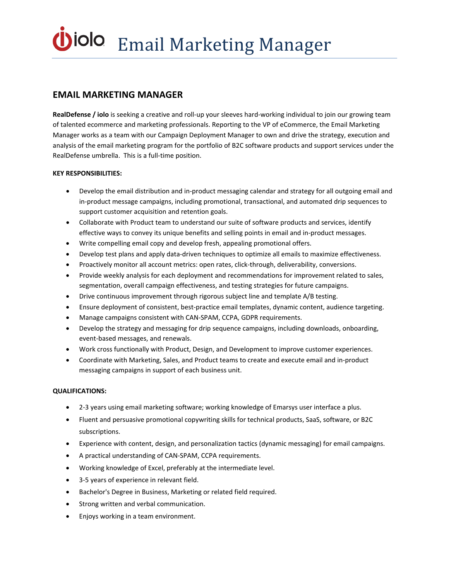# **EMAIL MARKETING MANAGER**

**RealDefense / iolo** is seeking a creative and roll-up your sleeves hard-working individual to join our growing team of talented ecommerce and marketing professionals. Reporting to the VP of eCommerce, the Email Marketing Manager works as a team with our Campaign Deployment Manager to own and drive the strategy, execution and analysis of the email marketing program for the portfolio of B2C software products and support services under the RealDefense umbrella. This is a full-time position.

### **KEY RESPONSIBILITIES:**

- Develop the email distribution and in-product messaging calendar and strategy for all outgoing email and in-product message campaigns, including promotional, transactional, and automated drip sequences to support customer acquisition and retention goals.
- Collaborate with Product team to understand our suite of software products and services, identify effective ways to convey its unique benefits and selling points in email and in-product messages.
- Write compelling email copy and develop fresh, appealing promotional offers.
- Develop test plans and apply data-driven techniques to optimize all emails to maximize effectiveness.
- Proactively monitor all account metrics: open rates, click-through, deliverability, conversions.
- Provide weekly analysis for each deployment and recommendations for improvement related to sales, segmentation, overall campaign effectiveness, and testing strategies for future campaigns.
- Drive continuous improvement through rigorous subject line and template A/B testing.
- Ensure deployment of consistent, best-practice email templates, dynamic content, audience targeting.
- Manage campaigns consistent with CAN-SPAM, CCPA, GDPR requirements.
- Develop the strategy and messaging for drip sequence campaigns, including downloads, onboarding, event-based messages, and renewals.
- Work cross functionally with Product, Design, and Development to improve customer experiences.
- Coordinate with Marketing, Sales, and Product teams to create and execute email and in-product messaging campaigns in support of each business unit.

## **QUALIFICATIONS:**

- 2-3 years using email marketing software; working knowledge of Emarsys user interface a plus.
- Fluent and persuasive promotional copywriting skills for technical products, SaaS, software, or B2C subscriptions.
- Experience with content, design, and personalization tactics (dynamic messaging) for email campaigns.
- A practical understanding of CAN-SPAM, CCPA requirements.
- Working knowledge of Excel, preferably at the intermediate level.
- 3-5 years of experience in relevant field.
- Bachelor's Degree in Business, Marketing or related field required.
- Strong written and verbal communication.
- Enjoys working in a team environment.